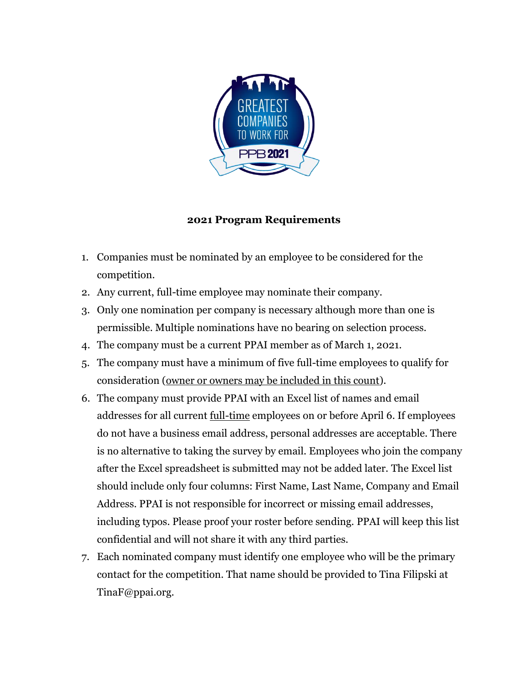

## **2021 Program Requirements**

- 1. Companies must be nominated by an employee to be considered for the competition.
- 2. Any current, full-time employee may nominate their company.
- 3. Only one nomination per company is necessary although more than one is permissible. Multiple nominations have no bearing on selection process.
- 4. The company must be a current PPAI member as of March 1, 2021.
- 5. The company must have a minimum of five full-time employees to qualify for consideration (owner or owners may be included in this count).
- 6. The company must provide PPAI with an Excel list of names and email addresses for all current full-time employees on or before April 6. If employees do not have a business email address, personal addresses are acceptable. There is no alternative to taking the survey by email. Employees who join the company after the Excel spreadsheet is submitted may not be added later. The Excel list should include only four columns: First Name, Last Name, Company and Email Address. PPAI is not responsible for incorrect or missing email addresses, including typos. Please proof your roster before sending. PPAI will keep this list confidential and will not share it with any third parties.
- 7. Each nominated company must identify one employee who will be the primary contact for the competition. That name should be provided to Tina Filipski at TinaF@ppai.org.